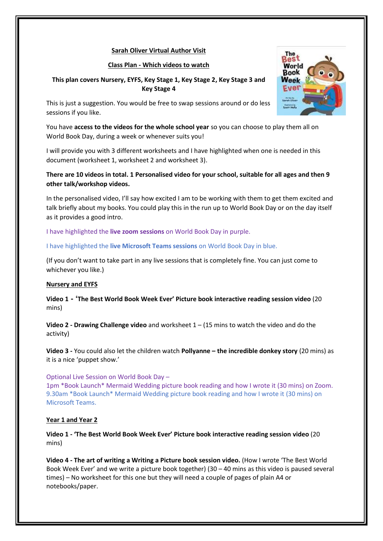### **Sarah Oliver Virtual Author Visit**

### **Class Plan - Which videos to watch**

## **This plan covers Nursery, EYFS, Key Stage 1, Key Stage 2, Key Stage 3 and Key Stage 4**

This is just a suggestion. You would be free to swap sessions around or do less sessions if you like.

You have **access to the videos for the whole school year** so you can choose to play them all on World Book Day, during a week or whenever suits you!

I will provide you with 3 different worksheets and I have highlighted when one is needed in this document (worksheet 1, worksheet 2 and worksheet 3).

**There are 10 videos in total. 1 Personalised video for your school, suitable for all ages and then 9 other talk/workshop videos.**

In the personalised video, I'll say how excited I am to be working with them to get them excited and talk briefly about my books. You could play this in the run up to World Book Day or on the day itself as it provides a good intro.

I have highlighted the **live zoom sessions** on World Book Day in purple.

I have highlighted the **live Microsoft Teams sessions** on World Book Day in blue.

(If you don't want to take part in any live sessions that is completely fine. You can just come to whichever you like.)

#### **Nursery and EYFS**

**Video 1 - 'The Best World Book Week Ever' Picture book interactive reading session video** (20 mins)

**Video 2 - Drawing Challenge video** and worksheet 1 – (15 mins to watch the video and do the activity)

**Video 3 -** You could also let the children watch **Pollyanne – the incredible donkey story** (20 mins) as it is a nice 'puppet show.'

Optional Live Session on World Book Day –

1pm \*Book Launch\* Mermaid Wedding picture book reading and how I wrote it (30 mins) on Zoom. 9.30am \*Book Launch\* Mermaid Wedding picture book reading and how I wrote it (30 mins) on Microsoft Teams.

#### **Year 1 and Year 2**

**Video 1 - 'The Best World Book Week Ever' Picture book interactive reading session video** (20 mins)

**Video 4 - The art of writing a Writing a Picture book session video.** (How I wrote 'The Best World Book Week Ever' and we write a picture book together) (30 – 40 mins as this video is paused several times) – No worksheet for this one but they will need a couple of pages of plain A4 or notebooks/paper.

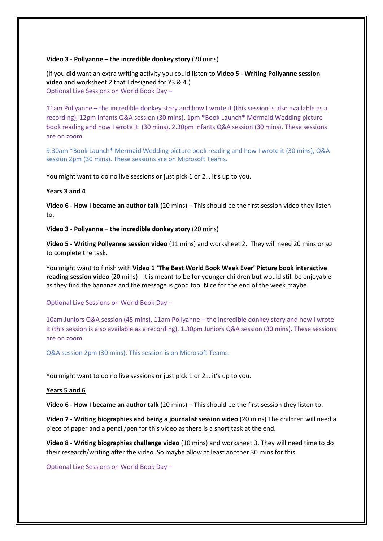#### **Video 3 - Pollyanne – the incredible donkey story** (20 mins)

(If you did want an extra writing activity you could listen to **Video 5 - Writing Pollyanne session video** and worksheet 2 that I designed for Y3 & 4.) Optional Live Sessions on World Book Day –

11am Pollyanne – the incredible donkey story and how I wrote it (this session is also available as a recording), 12pm Infants Q&A session (30 mins), 1pm \*Book Launch\* Mermaid Wedding picture book reading and how I wrote it (30 mins), 2.30pm Infants Q&A session (30 mins). These sessions are on zoom.

9.30am \*Book Launch\* Mermaid Wedding picture book reading and how I wrote it (30 mins), Q&A session 2pm (30 mins). These sessions are on Microsoft Teams.

You might want to do no live sessions or just pick 1 or 2… it's up to you.

### **Years 3 and 4**

**Video 6 - How I became an author talk** (20 mins) – This should be the first session video they listen to.

**Video 3 - Pollyanne – the incredible donkey story** (20 mins)

**Video 5 - Writing Pollyanne session video** (11 mins) and worksheet 2. They will need 20 mins or so to complete the task.

You might want to finish with **Video 1 'The Best World Book Week Ever' Picture book interactive reading session video** (20 mins) - It is meant to be for younger children but would still be enjoyable as they find the bananas and the message is good too. Nice for the end of the week maybe.

### Optional Live Sessions on World Book Day –

10am Juniors Q&A session (45 mins), 11am Pollyanne – the incredible donkey story and how I wrote it (this session is also available as a recording), 1.30pm Juniors Q&A session (30 mins). These sessions are on zoom.

Q&A session 2pm (30 mins). This session is on Microsoft Teams.

You might want to do no live sessions or just pick 1 or 2… it's up to you.

#### **Years 5 and 6**

**Video 6 - How I became an author talk** (20 mins) – This should be the first session they listen to.

**Video 7 - Writing biographies and being a journalist session video** (20 mins) The children will need a piece of paper and a pencil/pen for this video as there is a short task at the end.

**Video 8 - Writing biographies challenge video** (10 mins) and worksheet 3. They will need time to do their research/writing after the video. So maybe allow at least another 30 mins for this.

Optional Live Sessions on World Book Day –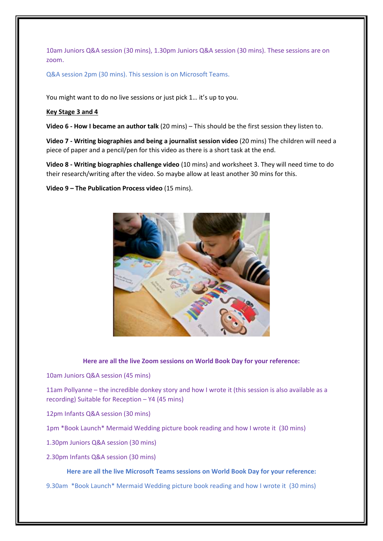10am Juniors Q&A session (30 mins), 1.30pm Juniors Q&A session (30 mins). These sessions are on zoom.

Q&A session 2pm (30 mins). This session is on Microsoft Teams.

You might want to do no live sessions or just pick 1… it's up to you.

### **Key Stage 3 and 4**

**Video 6 - How I became an author talk** (20 mins) – This should be the first session they listen to.

**Video 7 - Writing biographies and being a journalist session video** (20 mins) The children will need a piece of paper and a pencil/pen for this video as there is a short task at the end.

**Video 8 - Writing biographies challenge video** (10 mins) and worksheet 3. They will need time to do their research/writing after the video. So maybe allow at least another 30 mins for this.

**Video 9 – The Publication Process video** (15 mins).



#### **Here are all the live Zoom sessions on World Book Day for your reference:**

10am Juniors Q&A session (45 mins)

11am Pollyanne – the incredible donkey story and how I wrote it (this session is also available as a recording) Suitable for Reception – Y4 (45 mins)

12pm Infants Q&A session (30 mins)

1pm \*Book Launch\* Mermaid Wedding picture book reading and how I wrote it (30 mins)

1.30pm Juniors Q&A session (30 mins)

2.30pm Infants Q&A session (30 mins)

#### **Here are all the live Microsoft Teams sessions on World Book Day for your reference:**

9.30am \*Book Launch\* Mermaid Wedding picture book reading and how I wrote it (30 mins)